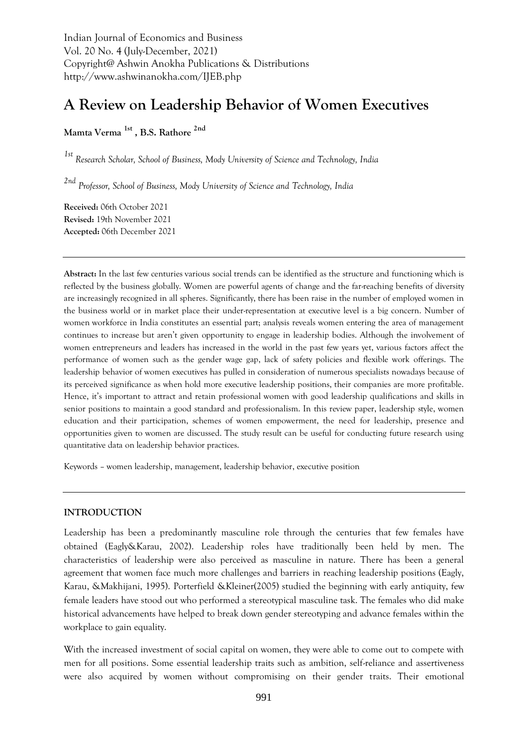Indian Journal of Economics and Business Vol. 20 No. 4 (July-December, 2021) Copyright@ Ashwin Anokha Publications & Distributions http://www.ashwinanokha.com/IJEB.php

# **A Review on Leadership Behavior of Women Executives**

**Mamta Verma 1st , B.S. Rathore 2nd**

*1st Research Scholar, School of Business, Mody University of Science and Technology, India*

*2nd Professor, School of Business, Mody University of Science and Technology, India*

**Received:** 06th October 2021 **Revised:** 19th November 2021 **Accepted:** 06th December 2021

**Abstract:** In the last few centuries various social trends can be identified as the structure and functioning which is reflected by the business globally. Women are powerful agents of change and the far-reaching benefits of diversity are increasingly recognized in all spheres. Significantly, there has been raise in the number of employed women in the business world or in market place their under-representation at executive level is a big concern. Number of women workforce in India constitutes an essential part; analysis reveals women entering the area of management continues to increase but aren't given opportunity to engage in leadership bodies. Although the involvement of women entrepreneurs and leaders has increased in the world in the past few years yet, various factors affect the performance of women such as the gender wage gap, lack of safety policies and flexible work offerings. The leadership behavior of women executives has pulled in consideration of numerous specialists nowadays because of its perceived significance as when hold more executive leadership positions, their companies are more profitable. Hence, it's important to attract and retain professional women with good leadership qualifications and skills in senior positions to maintain a good standard and professionalism. In this review paper, leadership style, women education and their participation, schemes of women empowerment, the need for leadership, presence and opportunities given to women are discussed. The study result can be useful for conducting future research using quantitative data on leadership behavior practices.

Keywords – women leadership, management, leadership behavior, executive position

## **INTRODUCTION**

Leadership has been a predominantly masculine role through the centuries that few females have obtained (Eagly&Karau, 2002). Leadership roles have traditionally been held by men. The characteristics of leadership were also perceived as masculine in nature. There has been a general agreement that women face much more challenges and barriers in reaching leadership positions (Eagly, Karau, &Makhijani, 1995). Porterfield &Kleiner(2005) studied the beginning with early antiquity, few female leaders have stood out who performed a stereotypical masculine task. The females who did make historical advancements have helped to break down gender stereotyping and advance females within the workplace to gain equality.

With the increased investment of social capital on women, they were able to come out to compete with men for all positions. Some essential leadership traits such as ambition, self-reliance and assertiveness were also acquired by women without compromising on their gender traits. Their emotional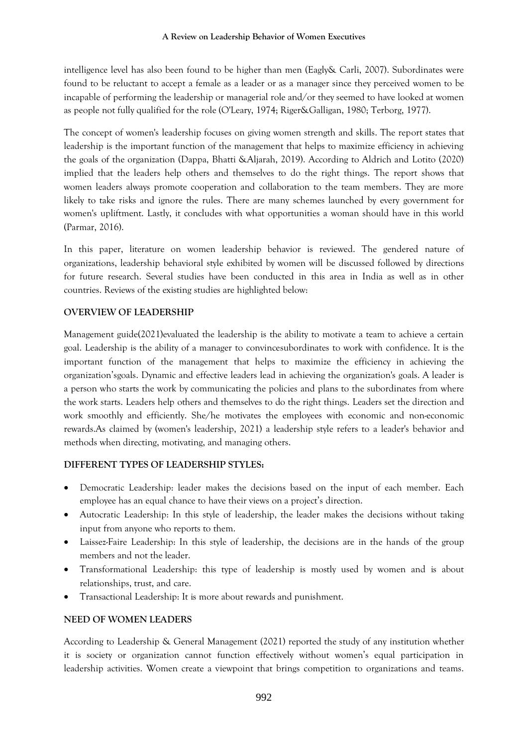#### **A Review on Leadership Behavior of Women Executives**

intelligence level has also been found to be higher than men (Eagly& Carli, 2007). Subordinates were found to be reluctant to accept a female as a leader or as a manager since they perceived women to be incapable of performing the leadership or managerial role and/or they seemed to have looked at women as people not fully qualified for the role (O'Leary, 1974; Riger&Galligan, 1980; Terborg, 1977).

The concept of women's leadership focuses on giving women strength and skills. The report states that leadership is the important function of the management that helps to maximize efficiency in achieving the goals of the organization (Dappa, Bhatti &Aljarah, 2019). According to Aldrich and Lotito (2020) implied that the leaders help others and themselves to do the right things. The report shows that women leaders always promote cooperation and collaboration to the team members. They are more likely to take risks and ignore the rules. There are many schemes launched by every government for women's upliftment. Lastly, it concludes with what opportunities a woman should have in this world (Parmar, 2016).

In this paper, literature on women leadership behavior is reviewed. The gendered nature of organizations, leadership behavioral style exhibited by women will be discussed followed by directions for future research. Several studies have been conducted in this area in India as well as in other countries. Reviews of the existing studies are highlighted below:

# **OVERVIEW OF LEADERSHIP**

Management guide(2021)evaluated the leadership is the ability to motivate a team to achieve a certain goal. Leadership is the ability of a manager to convincesubordinates to work with confidence. It is the important function of the management that helps to maximize the efficiency in achieving the organization'sgoals. Dynamic and effective leaders lead in achieving the organization's goals. A leader is a person who starts the work by communicating the policies and plans to the subordinates from where the work starts. Leaders help others and themselves to do the right things. Leaders set the direction and work smoothly and efficiently. She/he motivates the employees with economic and non-economic rewards.As claimed by (women's leadership, 2021) a leadership style refers to a leader's behavior and methods when directing, motivating, and managing others.

# **DIFFERENT TYPES OF LEADERSHIP STYLES:**

- Democratic Leadership: leader makes the decisions based on the input of each member. Each employee has an equal chance to have their views on a project's direction.
- Autocratic Leadership: In this style of leadership, the leader makes the decisions without taking input from anyone who reports to them.
- Laissez-Faire Leadership: In this style of leadership, the decisions are in the hands of the group members and not the leader.
- Transformational Leadership: this type of leadership is mostly used by women and is about relationships, trust, and care.
- Transactional Leadership: It is more about rewards and punishment.

# **NEED OF WOMEN LEADERS**

According to Leadership & General Management (2021) reported the study of any institution whether it is society or organization cannot function effectively without women's equal participation in leadership activities. Women create a viewpoint that brings competition to organizations and teams.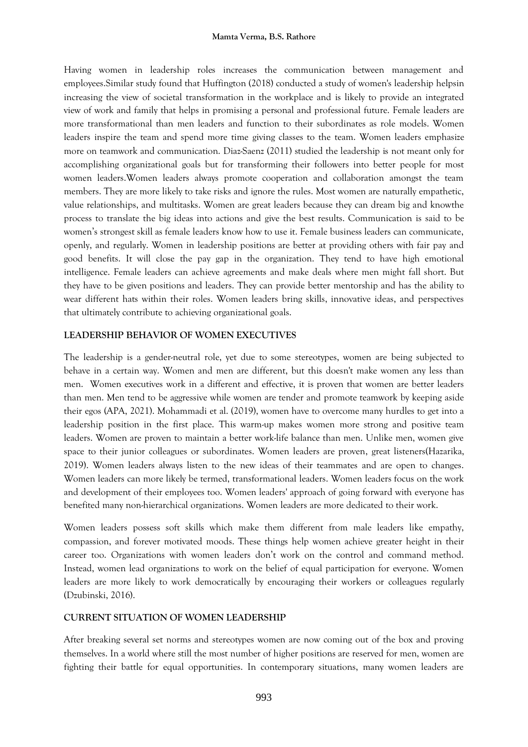Having women in leadership roles increases the communication between management and employees.Similar study found that Huffington (2018) conducted a study of women's leadership helpsin increasing the view of societal transformation in the workplace and is likely to provide an integrated view of work and family that helps in promising a personal and professional future. Female leaders are more transformational than men leaders and function to their subordinates as role models. Women leaders inspire the team and spend more time giving classes to the team. Women leaders emphasize more on teamwork and communication. Diaz-Saenz (2011) studied the leadership is not meant only for accomplishing organizational goals but for transforming their followers into better people for most women leaders.Women leaders always promote cooperation and collaboration amongst the team members. They are more likely to take risks and ignore the rules. Most women are naturally empathetic, value relationships, and multitasks. Women are great leaders because they can dream big and knowthe process to translate the big ideas into actions and give the best results. Communication is said to be women's strongest skill as female leaders know how to use it. Female business leaders can communicate, openly, and regularly. Women in leadership positions are better at providing others with fair pay and good benefits. It will close the pay gap in the organization. They tend to have high emotional intelligence. Female leaders can achieve agreements and make deals where men might fall short. But they have to be given positions and leaders. They can provide better mentorship and has the ability to wear different hats within their roles. Women leaders bring skills, innovative ideas, and perspectives that ultimately contribute to achieving organizational goals.

#### **LEADERSHIP BEHAVIOR OF WOMEN EXECUTIVES**

The leadership is a gender-neutral role, yet due to some stereotypes, women are being subjected to behave in a certain way. Women and men are different, but this doesn't make women any less than men. Women executives work in a different and effective, it is proven that women are better leaders than men. Men tend to be aggressive while women are tender and promote teamwork by keeping aside their egos (APA, 2021). Mohammadi et al. (2019), women have to overcome many hurdles to get into a leadership position in the first place. This warm-up makes women more strong and positive team leaders. Women are proven to maintain a better work-life balance than men. Unlike men, women give space to their junior colleagues or subordinates. Women leaders are proven, great listeners(Hazarika, 2019). Women leaders always listen to the new ideas of their teammates and are open to changes. Women leaders can more likely be termed, transformational leaders. Women leaders focus on the work and development of their employees too. Women leaders' approach of going forward with everyone has benefited many non-hierarchical organizations. Women leaders are more dedicated to their work.

Women leaders possess soft skills which make them different from male leaders like empathy, compassion, and forever motivated moods. These things help women achieve greater height in their career too. Organizations with women leaders don't work on the control and command method. Instead, women lead organizations to work on the belief of equal participation for everyone. Women leaders are more likely to work democratically by encouraging their workers or colleagues regularly (Dzubinski, 2016).

#### **CURRENT SITUATION OF WOMEN LEADERSHIP**

After breaking several set norms and stereotypes women are now coming out of the box and proving themselves. In a world where still the most number of higher positions are reserved for men, women are fighting their battle for equal opportunities. In contemporary situations, many women leaders are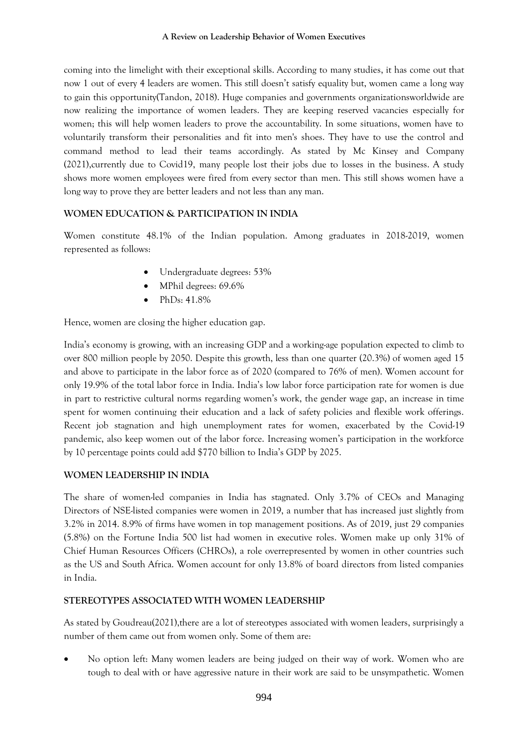coming into the limelight with their exceptional skills. According to many studies, it has come out that now 1 out of every 4 leaders are women. This still doesn't satisfy equality but, women came a long way to gain this opportunity(Tandon, 2018). Huge companies and governments organizationsworldwide are now realizing the importance of women leaders. They are keeping reserved vacancies especially for women; this will help women leaders to prove the accountability. In some situations, women have to voluntarily transform their personalities and fit into men's shoes. They have to use the control and command method to lead their teams accordingly. As stated by Mc Kinsey and Company (2021),currently due to Covid19, many people lost their jobs due to losses in the business. A study shows more women employees were fired from every sector than men. This still shows women have a long way to prove they are better leaders and not less than any man.

# **WOMEN EDUCATION & PARTICIPATION IN INDIA**

Women constitute 48.1% of the Indian population. Among graduates in 2018-2019, women represented as follows:

- Undergraduate degrees: 53%
- MPhil degrees: 69.6%
- PhDs:  $41.8\%$

Hence, women are closing the higher education gap.

India's economy is growing, with an increasing GDP and a working-age population expected to climb to over 800 million people by 2050. Despite this growth, less than one quarter (20.3%) of women aged 15 and above to participate in the labor force as of 2020 (compared to 76% of men). Women account for only 19.9% of the total labor force in India. India's low labor force participation rate for women is due in part to restrictive cultural norms regarding women's work, the gender wage gap, an increase in time spent for women continuing their education and a lack of safety policies and flexible work offerings. Recent job stagnation and high unemployment rates for women, exacerbated by the Covid-19 pandemic, also keep women out of the labor force. Increasing women's participation in the workforce by 10 percentage points could add \$770 billion to India's GDP by 2025.

# **WOMEN LEADERSHIP IN INDIA**

The share of women-led companies in India has stagnated. Only 3.7% of CEOs and Managing Directors of NSE-listed companies were women in 2019, a number that has increased just slightly from 3.2% in 2014. 8.9% of firms have women in top management positions. As of 2019, just 29 companies (5.8%) on the Fortune India 500 list had women in executive roles. Women make up only 31% of Chief Human Resources Officers (CHROs), a role overrepresented by women in other countries such as the US and South Africa. Women account for only 13.8% of board directors from listed companies in India.

# **STEREOTYPES ASSOCIATED WITH WOMEN LEADERSHIP**

As stated by Goudreau(2021),there are a lot of stereotypes associated with women leaders, surprisingly a number of them came out from women only. Some of them are:

 No option left: Many women leaders are being judged on their way of work. Women who are tough to deal with or have aggressive nature in their work are said to be unsympathetic. Women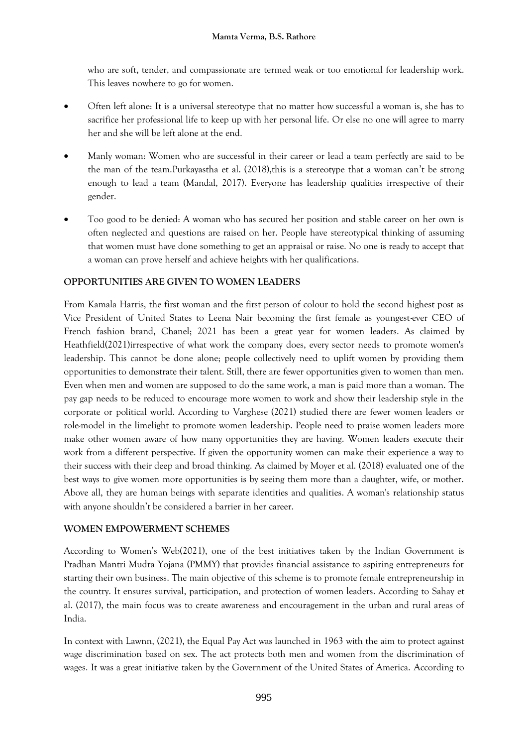who are soft, tender, and compassionate are termed weak or too emotional for leadership work. This leaves nowhere to go for women.

- Often left alone: It is a universal stereotype that no matter how successful a woman is, she has to sacrifice her professional life to keep up with her personal life. Or else no one will agree to marry her and she will be left alone at the end.
- Manly woman: Women who are successful in their career or lead a team perfectly are said to be the man of the team.Purkayastha et al. (2018),this is a stereotype that a woman can't be strong enough to lead a team (Mandal, 2017). Everyone has leadership qualities irrespective of their gender.
- Too good to be denied: A woman who has secured her position and stable career on her own is often neglected and questions are raised on her. People have stereotypical thinking of assuming that women must have done something to get an appraisal or raise. No one is ready to accept that a woman can prove herself and achieve heights with her qualifications.

# **OPPORTUNITIES ARE GIVEN TO WOMEN LEADERS**

From Kamala Harris, the first woman and the first person of colour to hold the second highest post as Vice President of United States to Leena Nair becoming the first female as youngest-ever CEO of French fashion brand, Chanel; 2021 has been a great year for women leaders. As claimed by Heathfield(2021)irrespective of what work the company does, every sector needs to promote women's leadership. This cannot be done alone; people collectively need to uplift women by providing them opportunities to demonstrate their talent. Still, there are fewer opportunities given to women than men. Even when men and women are supposed to do the same work, a man is paid more than a woman. The pay gap needs to be reduced to encourage more women to work and show their leadership style in the corporate or political world. According to Varghese (2021) studied there are fewer women leaders or role-model in the limelight to promote women leadership. People need to praise women leaders more make other women aware of how many opportunities they are having. Women leaders execute their work from a different perspective. If given the opportunity women can make their experience a way to their success with their deep and broad thinking. As claimed by Moyer et al. (2018) evaluated one of the best ways to give women more opportunities is by seeing them more than a daughter, wife, or mother. Above all, they are human beings with separate identities and qualities. A woman's relationship status with anyone shouldn't be considered a barrier in her career.

# **WOMEN EMPOWERMENT SCHEMES**

According to Women's Web(2021), one of the best initiatives taken by the Indian Government is Pradhan Mantri Mudra Yojana (PMMY) that provides financial assistance to aspiring entrepreneurs for starting their own business. The main objective of this scheme is to promote female entrepreneurship in the country. It ensures survival, participation, and protection of women leaders. According to Sahay et al. (2017), the main focus was to create awareness and encouragement in the urban and rural areas of India.

In context with Lawnn, (2021), the Equal Pay Act was launched in 1963 with the aim to protect against wage discrimination based on sex. The act protects both men and women from the discrimination of wages. It was a great initiative taken by the Government of the United States of America. According to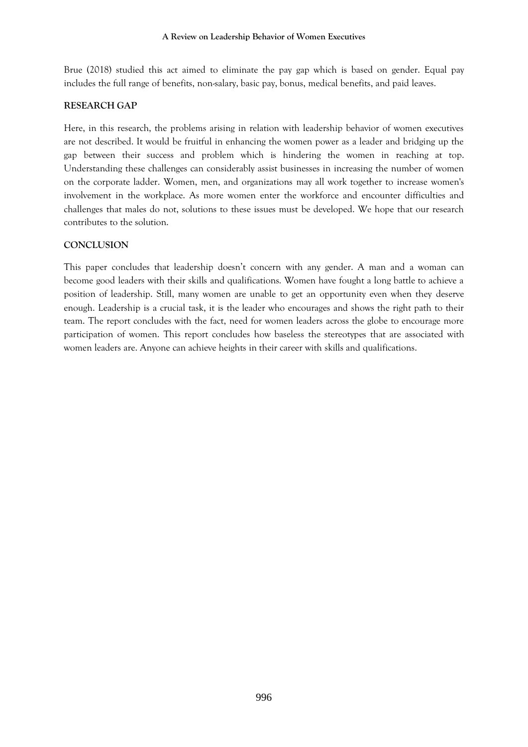Brue (2018) studied this act aimed to eliminate the pay gap which is based on gender. Equal pay includes the full range of benefits, non-salary, basic pay, bonus, medical benefits, and paid leaves.

## **RESEARCH GAP**

Here, in this research, the problems arising in relation with leadership behavior of women executives are not described. It would be fruitful in enhancing the women power as a leader and bridging up the gap between their success and problem which is hindering the women in reaching at top. Understanding these challenges can considerably assist businesses in increasing the number of women on the corporate ladder. Women, men, and organizations may all work together to increase women's involvement in the workplace. As more women enter the workforce and encounter difficulties and challenges that males do not, solutions to these issues must be developed. We hope that our research contributes to the solution.

## **CONCLUSION**

This paper concludes that leadership doesn't concern with any gender. A man and a woman can become good leaders with their skills and qualifications. Women have fought a long battle to achieve a position of leadership. Still, many women are unable to get an opportunity even when they deserve enough. Leadership is a crucial task, it is the leader who encourages and shows the right path to their team. The report concludes with the fact, need for women leaders across the globe to encourage more participation of women. This report concludes how baseless the stereotypes that are associated with women leaders are. Anyone can achieve heights in their career with skills and qualifications.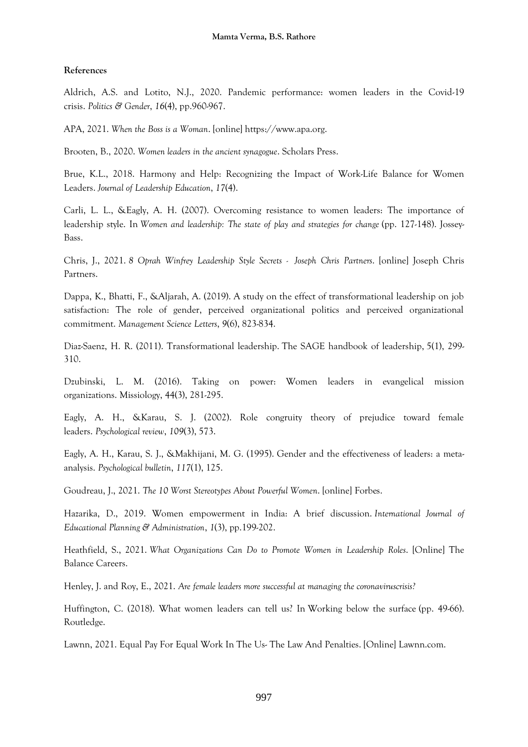## **References**

Aldrich, A.S. and Lotito, N.J., 2020. Pandemic performance: women leaders in the Covid-19 crisis. *Politics & Gender*, *16*(4), pp.960-967.

APA, 2021. *When the Boss is a Woman*. [online] https://www.apa.org.

Brooten, B., 2020. *Women leaders in the ancient synagogue*. Scholars Press.

Brue, K.L., 2018. Harmony and Help: Recognizing the Impact of Work-Life Balance for Women Leaders. *Journal of Leadership Education*, *17*(4).

Carli, L. L., &Eagly, A. H. (2007). Overcoming resistance to women leaders: The importance of leadership style. In *Women and leadership: The state of play and strategies for change* (pp. 127-148). Jossey-Bass.

Chris, J., 2021. *8 Oprah Winfrey Leadership Style Secrets - Joseph Chris Partners*. [online] Joseph Chris Partners.

Dappa, K., Bhatti, F., &Aljarah, A. (2019). A study on the effect of transformational leadership on job satisfaction: The role of gender, perceived organizational politics and perceived organizational commitment. *Management Science Letters*, *9*(6), 823-834.

Diaz-Saenz, H. R. (2011). Transformational leadership. The SAGE handbook of leadership, 5(1), 299- 310.

Dzubinski, L. M. (2016). Taking on power: Women leaders in evangelical mission organizations. Missiology, 44(3), 281-295.

Eagly, A. H., &Karau, S. J. (2002). Role congruity theory of prejudice toward female leaders. *Psychological review*, *109*(3), 573.

Eagly, A. H., Karau, S. J., &Makhijani, M. G. (1995). Gender and the effectiveness of leaders: a metaanalysis. *Psychological bulletin*, *117*(1), 125.

Goudreau, J., 2021. *The 10 Worst Stereotypes About Powerful Women*. [online] Forbes.

Hazarika, D., 2019. Women empowerment in India: A brief discussion. *International Journal of Educational Planning & Administration*, *1*(3), pp.199-202.

Heathfield, S., 2021. *What Organizations Can Do to Promote Women in Leadership Roles*. [Online] The Balance Careers.

Henley, J. and Roy, E., 2021. *Are female leaders more successful at managing the coronaviruscrisis?*

Huffington, C. (2018). What women leaders can tell us? In Working below the surface (pp. 49-66). Routledge.

Lawnn, 2021. Equal Pay For Equal Work In The Us- The Law And Penalties. [Online] Lawnn.com.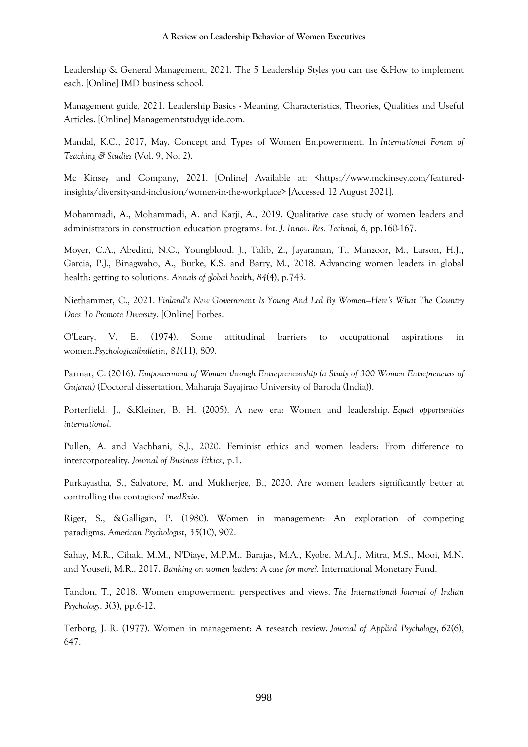Leadership & General Management, 2021. The 5 Leadership Styles you can use &How to implement each. [Online] IMD business school.

Management guide, 2021. Leadership Basics - Meaning, Characteristics, Theories, Qualities and Useful Articles. [Online] Managementstudyguide.com.

Mandal, K.C., 2017, May. Concept and Types of Women Empowerment. In *International Forum of Teaching & Studies* (Vol. 9, No. 2).

Mc Kinsey and Company, 2021. [Online] Available at: <https://www.mckinsey.com/featuredinsights/diversity-and-inclusion/women-in-the-workplace> [Accessed 12 August 2021].

Mohammadi, A., Mohammadi, A. and Karji, A., 2019. Qualitative case study of women leaders and administrators in construction education programs. *Int. J. Innov. Res. Technol*, *6*, pp.160-167.

Moyer, C.A., Abedini, N.C., Youngblood, J., Talib, Z., Jayaraman, T., Manzoor, M., Larson, H.J., Garcia, P.J., Binagwaho, A., Burke, K.S. and Barry, M., 2018. Advancing women leaders in global health: getting to solutions. *Annals of global health*, *84*(4), p.743.

Niethammer, C., 2021. *Finland's New Government Is Young And Led By Women—Here's What The Country Does To Promote Diversity*. [Online] Forbes.

O'Leary, V. E. (1974). Some attitudinal barriers to occupational aspirations in women.*Psychologicalbulletin*, *81*(11), 809.

Parmar, C. (2016). *Empowerment of Women through Entrepreneurship (a Study of 300 Women Entrepreneurs of Gujarat)* (Doctoral dissertation, Maharaja Sayajirao University of Baroda (India)).

Porterfield, J., &Kleiner, B. H. (2005). A new era: Women and leadership. *Equal opportunities international*.

Pullen, A. and Vachhani, S.J., 2020. Feminist ethics and women leaders: From difference to intercorporeality. *Journal of Business Ethics*, p.1.

Purkayastha, S., Salvatore, M. and Mukherjee, B., 2020. Are women leaders significantly better at controlling the contagion? *medRxiv*.

Riger, S., &Galligan, P. (1980). Women in management: An exploration of competing paradigms. *American Psychologist*, *35*(10), 902.

Sahay, M.R., Cihak, M.M., N'Diaye, M.P.M., Barajas, M.A., Kyobe, M.A.J., Mitra, M.S., Mooi, M.N. and Yousefi, M.R., 2017. *Banking on women leaders: A case for more?*. International Monetary Fund.

Tandon, T., 2018. Women empowerment: perspectives and views. *The International Journal of Indian Psychology*, *3*(3), pp.6-12.

Terborg, J. R. (1977). Women in management: A research review. *Journal of Applied Psychology*, *62*(6), 647.